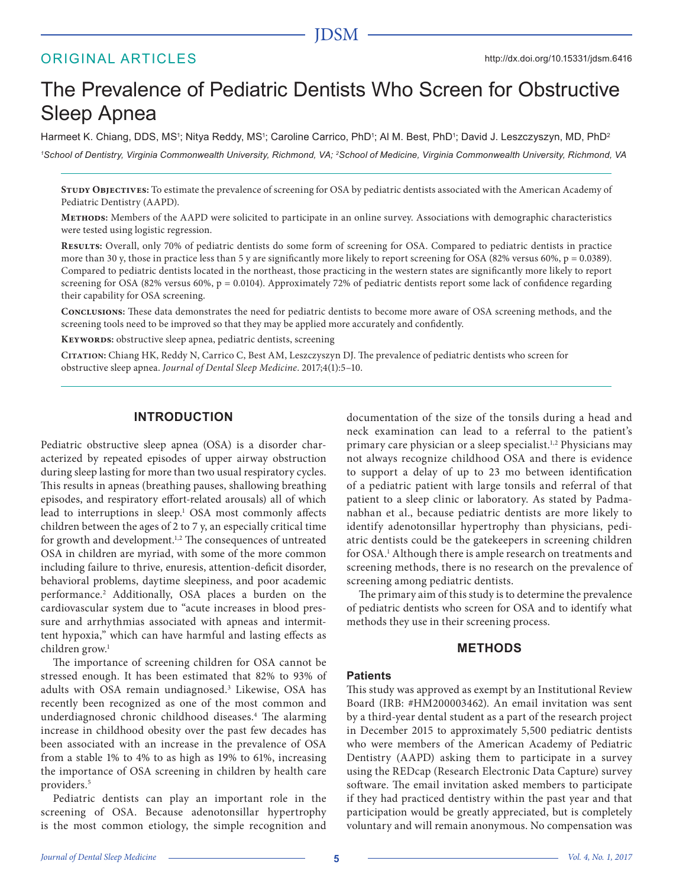# JDSM

# ORIGINAL ARTICLES

# The Prevalence of Pediatric Dentists Who Screen for Obstructive Sleep Apnea

Harmeet K. Chiang, DDS, MS<sup>1</sup>; Nitya Reddy, MS<sup>1</sup>; Caroline Carrico, PhD<sup>1</sup>; Al M. Best, PhD<sup>1</sup>; David J. Leszczyszyn, MD, PhD<sup>2</sup> *1 School of Dentistry, Virginia Commonwealth University, Richmond, VA; 2 School of Medicine, Virginia Commonwealth University, Richmond, VA*

STUDY OBJECTIVES: To estimate the prevalence of screening for OSA by pediatric dentists associated with the American Academy of Pediatric Dentistry (AAPD).

**Methods:** Members of the AAPD were solicited to participate in an online survey. Associations with demographic characteristics were tested using logistic regression.

**Results:** Overall, only 70% of pediatric dentists do some form of screening for OSA. Compared to pediatric dentists in practice more than 30 y, those in practice less than 5 y are significantly more likely to report screening for OSA (82% versus 60%,  $p = 0.0389$ ). Compared to pediatric dentists located in the northeast, those practicing in the western states are significantly more likely to report screening for OSA (82% versus 60%,  $p = 0.0104$ ). Approximately 72% of pediatric dentists report some lack of confidence regarding their capability for OSA screening.

**Conclusions:** These data demonstrates the need for pediatric dentists to become more aware of OSA screening methods, and the screening tools need to be improved so that they may be applied more accurately and confidently.

**Keywords:** obstructive sleep apnea, pediatric dentists, screening

**Citation:** Chiang HK, Reddy N, Carrico C, Best AM, Leszczyszyn DJ. The prevalence of pediatric dentists who screen for obstructive sleep apnea. *Journal of Dental Sleep Medicine*. 2017;4(1):5–10.

## **INTRODUCTION**

Pediatric obstructive sleep apnea (OSA) is a disorder characterized by repeated episodes of upper airway obstruction during sleep lasting for more than two usual respiratory cycles. This results in apneas (breathing pauses, shallowing breathing episodes, and respiratory effort-related arousals) all of which lead to interruptions in sleep.<sup>1</sup> OSA most commonly affects children between the ages of 2 to 7 y, an especially critical time for growth and development.<sup>1,2</sup> The consequences of untreated OSA in children are myriad, with some of the more common including failure to thrive, enuresis, attention-deficit disorder, behavioral problems, daytime sleepiness, and poor academic performance.2 Additionally, OSA places a burden on the cardiovascular system due to "acute increases in blood pressure and arrhythmias associated with apneas and intermittent hypoxia," which can have harmful and lasting effects as children grow.<sup>1</sup>

The importance of screening children for OSA cannot be stressed enough. It has been estimated that 82% to 93% of adults with OSA remain undiagnosed.<sup>3</sup> Likewise, OSA has recently been recognized as one of the most common and underdiagnosed chronic childhood diseases.<sup>4</sup> The alarming increase in childhood obesity over the past few decades has been associated with an increase in the prevalence of OSA from a stable 1% to 4% to as high as 19% to 61%, increasing the importance of OSA screening in children by health care providers.<sup>5</sup>

Pediatric dentists can play an important role in the screening of OSA. Because adenotonsillar hypertrophy is the most common etiology, the simple recognition and documentation of the size of the tonsils during a head and neck examination can lead to a referral to the patient's primary care physician or a sleep specialist.<sup>1,2</sup> Physicians may not always recognize childhood OSA and there is evidence to support a delay of up to 23 mo between identification of a pediatric patient with large tonsils and referral of that patient to a sleep clinic or laboratory. As stated by Padmanabhan et al., because pediatric dentists are more likely to identify adenotonsillar hypertrophy than physicians, pediatric dentists could be the gatekeepers in screening children for OSA.<sup>1</sup> Although there is ample research on treatments and screening methods, there is no research on the prevalence of screening among pediatric dentists.

The primary aim of this study is to determine the prevalence of pediatric dentists who screen for OSA and to identify what methods they use in their screening process.

#### **METHODS**

#### **Patients**

This study was approved as exempt by an Institutional Review Board (IRB: #HM200003462). An email invitation was sent by a third-year dental student as a part of the research project in December 2015 to approximately 5,500 pediatric dentists who were members of the American Academy of Pediatric Dentistry (AAPD) asking them to participate in a survey using the REDcap (Research Electronic Data Capture) survey software. The email invitation asked members to participate if they had practiced dentistry within the past year and that participation would be greatly appreciated, but is completely voluntary and will remain anonymous. No compensation was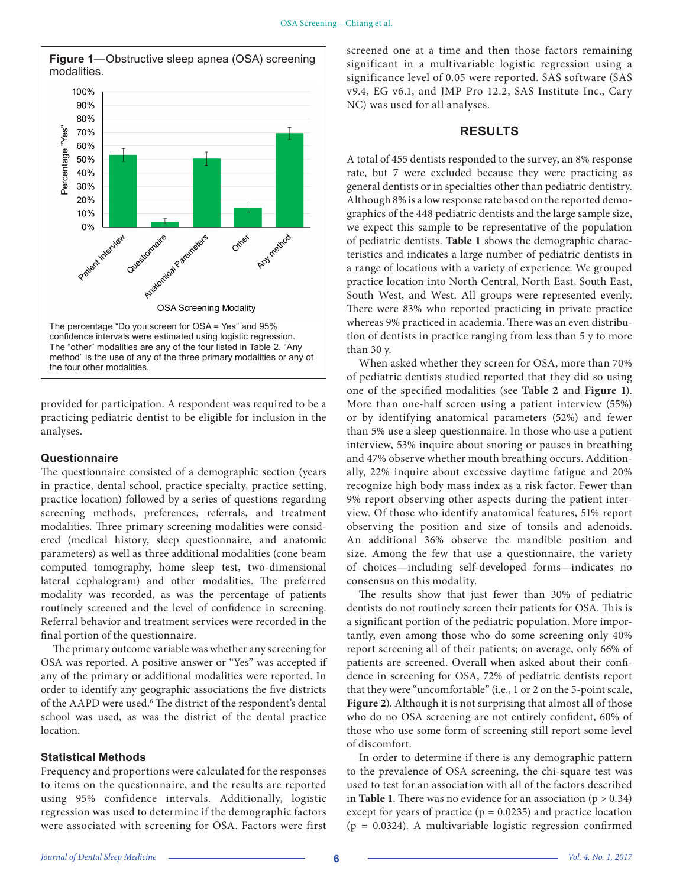

provided for participation. A respondent was required to be a practicing pediatric dentist to be eligible for inclusion in the analyses.

#### **Questionnaire**

The questionnaire consisted of a demographic section (years in practice, dental school, practice specialty, practice setting, practice location) followed by a series of questions regarding screening methods, preferences, referrals, and treatment modalities. Three primary screening modalities were considered (medical history, sleep questionnaire, and anatomic parameters) as well as three additional modalities (cone beam computed tomography, home sleep test, two-dimensional lateral cephalogram) and other modalities. The preferred modality was recorded, as was the percentage of patients routinely screened and the level of confidence in screening. Referral behavior and treatment services were recorded in the final portion of the questionnaire.

The primary outcome variable was whether any screening for OSA was reported. A positive answer or "Yes" was accepted if any of the primary or additional modalities were reported. In order to identify any geographic associations the five districts of the AAPD were used.<sup>6</sup> The district of the respondent's dental school was used, as was the district of the dental practice location.

#### **Statistical Methods**

Frequency and proportions were calculated for the responses to items on the questionnaire, and the results are reported using 95% confidence intervals. Additionally, logistic regression was used to determine if the demographic factors were associated with screening for OSA. Factors were first screened one at a time and then those factors remaining significant in a multivariable logistic regression using a significance level of 0.05 were reported. SAS software (SAS v9.4, EG v6.1, and JMP Pro 12.2, SAS Institute Inc., Cary NC) was used for all analyses.

## **RESULTS**

A total of 455 dentists responded to the survey, an 8% response rate, but 7 were excluded because they were practicing as general dentists or in specialties other than pediatric dentistry. Although 8% is a low response rate based on the reported demographics of the 448 pediatric dentists and the large sample size, we expect this sample to be representative of the population of pediatric dentists. **Table 1** shows the demographic characteristics and indicates a large number of pediatric dentists in a range of locations with a variety of experience. We grouped practice location into North Central, North East, South East, South West, and West. All groups were represented evenly. There were 83% who reported practicing in private practice whereas 9% practiced in academia. There was an even distribution of dentists in practice ranging from less than 5 y to more than 30 y.

When asked whether they screen for OSA, more than 70% of pediatric dentists studied reported that they did so using one of the specified modalities (see **Table 2** and **Figure 1**). More than one-half screen using a patient interview (55%) or by identifying anatomical parameters (52%) and fewer than 5% use a sleep questionnaire. In those who use a patient interview, 53% inquire about snoring or pauses in breathing and 47% observe whether mouth breathing occurs. Additionally, 22% inquire about excessive daytime fatigue and 20% recognize high body mass index as a risk factor. Fewer than 9% report observing other aspects during the patient interview. Of those who identify anatomical features, 51% report observing the position and size of tonsils and adenoids. An additional 36% observe the mandible position and size. Among the few that use a questionnaire, the variety of choices—including self-developed forms—indicates no consensus on this modality.

The results show that just fewer than 30% of pediatric dentists do not routinely screen their patients for OSA. This is a significant portion of the pediatric population. More importantly, even among those who do some screening only 40% report screening all of their patients; on average, only 66% of patients are screened. Overall when asked about their confidence in screening for OSA, 72% of pediatric dentists report that they were "uncomfortable" (i.e., 1 or 2 on the 5-point scale, **Figure 2**). Although it is not surprising that almost all of those who do no OSA screening are not entirely confident, 60% of those who use some form of screening still report some level of discomfort.

In order to determine if there is any demographic pattern to the prevalence of OSA screening, the chi-square test was used to test for an association with all of the factors described in **Table 1**. There was no evidence for an association  $(p > 0.34)$ except for years of practice ( $p = 0.0235$ ) and practice location  $(p = 0.0324)$ . A multivariable logistic regression confirmed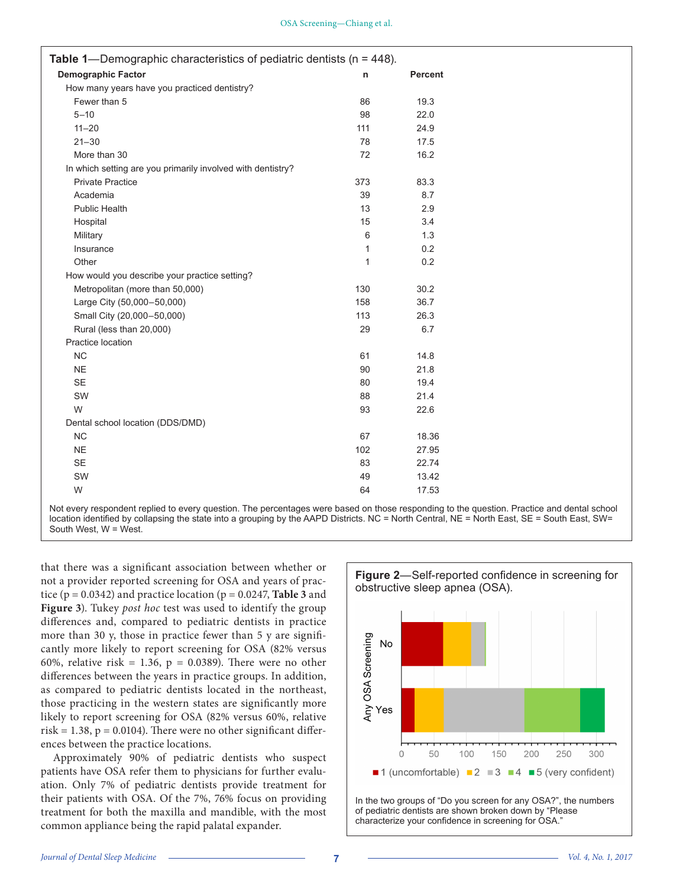| Table 1—Demographic characteristics of pediatric dentists ( $n = 448$ ). |              |                |
|--------------------------------------------------------------------------|--------------|----------------|
| <b>Demographic Factor</b>                                                | n            | <b>Percent</b> |
| How many years have you practiced dentistry?                             |              |                |
| Fewer than 5                                                             | 86           | 19.3           |
| $5 - 10$                                                                 | 98           | 22.0           |
| $11 - 20$                                                                | 111          | 24.9           |
| $21 - 30$                                                                | 78           | 17.5           |
| More than 30                                                             | 72           | 16.2           |
| In which setting are you primarily involved with dentistry?              |              |                |
| <b>Private Practice</b>                                                  | 373          | 83.3           |
| Academia                                                                 | 39           | 8.7            |
| <b>Public Health</b>                                                     | 13           | 2.9            |
| Hospital                                                                 | 15           | 3.4            |
| Military                                                                 | 6            | 1.3            |
| Insurance                                                                | 1            | 0.2            |
| Other                                                                    | $\mathbf{1}$ | 0.2            |
| How would you describe your practice setting?                            |              |                |
| Metropolitan (more than 50,000)                                          | 130          | 30.2           |
| Large City (50,000-50,000)                                               | 158          | 36.7           |
| Small City (20,000-50,000)                                               | 113          | 26.3           |
| Rural (less than 20,000)                                                 | 29           | 6.7            |
| Practice location                                                        |              |                |
| <b>NC</b>                                                                | 61           | 14.8           |
| <b>NE</b>                                                                | 90           | 21.8           |
| <b>SE</b>                                                                | 80           | 19.4           |
| SW                                                                       | 88           | 21.4           |
| W                                                                        | 93           | 22.6           |
| Dental school location (DDS/DMD)                                         |              |                |
| NC                                                                       | 67           | 18.36          |
| <b>NE</b>                                                                | 102          | 27.95          |
| <b>SE</b>                                                                | 83           | 22.74          |
| SW                                                                       | 49           | 13.42          |
| W                                                                        | 64           | 17.53          |

Not every respondent replied to every question. The percentages were based on those responding to the question. Practice and dental school location identified by collapsing the state into a grouping by the AAPD Districts. NC = North Central, NE = North East, SE = South East, SW= South West, W = West.

that there was a significant association between whether or not a provider reported screening for OSA and years of practice  $(p = 0.0342)$  and practice location  $(p = 0.0247,$  **Table 3** and **Figure 3**). Tukey *post hoc* test was used to identify the group differences and, compared to pediatric dentists in practice more than 30 y, those in practice fewer than 5 y are significantly more likely to report screening for OSA (82% versus 60%, relative risk = 1.36,  $p = 0.0389$ ). There were no other differences between the years in practice groups. In addition, as compared to pediatric dentists located in the northeast, those practicing in the western states are significantly more likely to report screening for OSA (82% versus 60%, relative risk = 1.38,  $p = 0.0104$ ). There were no other significant differences between the practice locations.

Approximately 90% of pediatric dentists who suspect patients have OSA refer them to physicians for further evaluation. Only 7% of pediatric dentists provide treatment for their patients with OSA. Of the 7%, 76% focus on providing treatment for both the maxilla and mandible, with the most common appliance being the rapid palatal expander.



of pediatric dentists are shown broken down by "Please characterize your confidence in screening for OSA."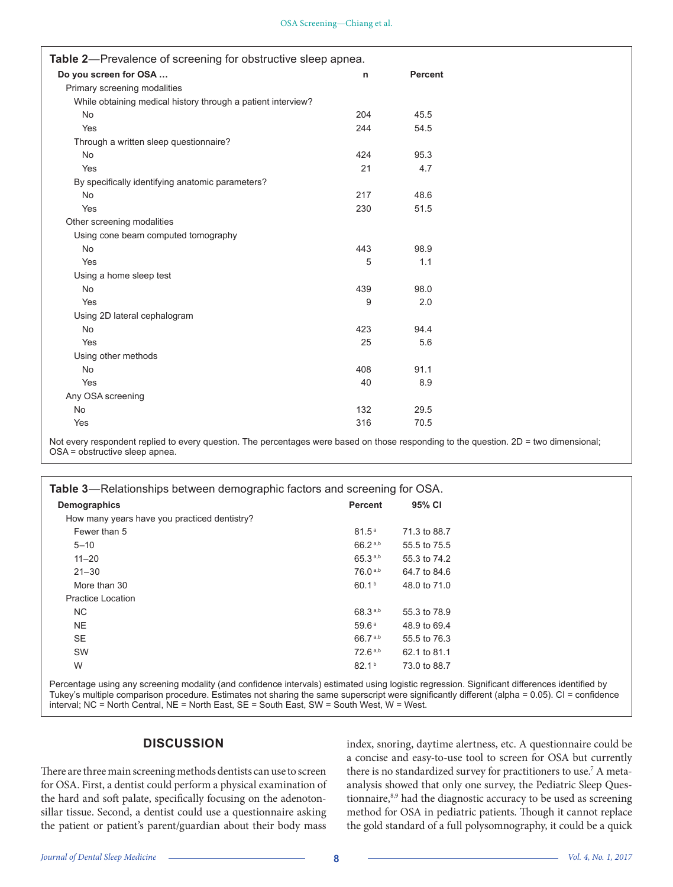| Table 2-Prevalence of screening for obstructive sleep apnea. |              |                |
|--------------------------------------------------------------|--------------|----------------|
| Do you screen for OSA                                        | $\mathsf{n}$ | <b>Percent</b> |
| Primary screening modalities                                 |              |                |
| While obtaining medical history through a patient interview? |              |                |
| No                                                           | 204          | 45.5           |
| Yes                                                          | 244          | 54.5           |
| Through a written sleep questionnaire?                       |              |                |
| No                                                           | 424          | 95.3           |
| Yes                                                          | 21           | 4.7            |
| By specifically identifying anatomic parameters?             |              |                |
| No                                                           | 217          | 48.6           |
| Yes                                                          | 230          | 51.5           |
| Other screening modalities                                   |              |                |
| Using cone beam computed tomography                          |              |                |
| No                                                           | 443          | 98.9           |
| Yes                                                          | 5            | 1.1            |
| Using a home sleep test                                      |              |                |
| <b>No</b>                                                    | 439          | 98.0           |
| Yes                                                          | 9            | 2.0            |
| Using 2D lateral cephalogram                                 |              |                |
| <b>No</b>                                                    | 423          | 94.4           |
| Yes                                                          | 25           | 5.6            |
| Using other methods                                          |              |                |
| <b>No</b>                                                    | 408          | 91.1           |
| Yes                                                          | 40           | 8.9            |
| Any OSA screening                                            |              |                |
| No                                                           | 132          | 29.5           |
| Yes                                                          | 316          | 70.5           |

Not every respondent replied to every question. The percentages were based on those responding to the question. 2D = two dimensional; OSA = obstructive sleep apnea.

| Demographics<br>95% CI<br><b>Percent</b><br>How many years have you practiced dentistry?<br>Fewer than 5<br>81.5 <sup>a</sup><br>71.3 to 88.7<br>$66.2^{a,b}$<br>$5 - 10$<br>55.5 to 75.5<br>65.3a,b<br>$11 - 20$<br>55.3 to 74.2<br>$76.0^{a,b}$<br>$21 - 30$<br>64.7 to 84.6<br>60.1 <sup>b</sup><br>More than 30<br>48.0 to 71.0<br><b>Practice Location</b><br>68.3 <sup>a,b</sup><br>NC.<br>55.3 to 78.9<br>NE.<br>59.6a<br>48.9 to 69.4<br>66.7 <sup>a,b</sup><br><b>SE</b><br>55.5 to 76.3<br>SW<br>72.6a,b<br>62.1 to 81.1<br>W<br>82.1 <sup>b</sup><br>73.0 to 88.7 | <b>Table 3—Relationships between demographic factors and screening for OSA.</b> |  |  |  |  |  |
|------------------------------------------------------------------------------------------------------------------------------------------------------------------------------------------------------------------------------------------------------------------------------------------------------------------------------------------------------------------------------------------------------------------------------------------------------------------------------------------------------------------------------------------------------------------------------|---------------------------------------------------------------------------------|--|--|--|--|--|
|                                                                                                                                                                                                                                                                                                                                                                                                                                                                                                                                                                              |                                                                                 |  |  |  |  |  |
|                                                                                                                                                                                                                                                                                                                                                                                                                                                                                                                                                                              |                                                                                 |  |  |  |  |  |
|                                                                                                                                                                                                                                                                                                                                                                                                                                                                                                                                                                              |                                                                                 |  |  |  |  |  |
|                                                                                                                                                                                                                                                                                                                                                                                                                                                                                                                                                                              |                                                                                 |  |  |  |  |  |
|                                                                                                                                                                                                                                                                                                                                                                                                                                                                                                                                                                              |                                                                                 |  |  |  |  |  |
|                                                                                                                                                                                                                                                                                                                                                                                                                                                                                                                                                                              |                                                                                 |  |  |  |  |  |
|                                                                                                                                                                                                                                                                                                                                                                                                                                                                                                                                                                              |                                                                                 |  |  |  |  |  |
|                                                                                                                                                                                                                                                                                                                                                                                                                                                                                                                                                                              |                                                                                 |  |  |  |  |  |
|                                                                                                                                                                                                                                                                                                                                                                                                                                                                                                                                                                              |                                                                                 |  |  |  |  |  |
|                                                                                                                                                                                                                                                                                                                                                                                                                                                                                                                                                                              |                                                                                 |  |  |  |  |  |
|                                                                                                                                                                                                                                                                                                                                                                                                                                                                                                                                                                              |                                                                                 |  |  |  |  |  |
|                                                                                                                                                                                                                                                                                                                                                                                                                                                                                                                                                                              |                                                                                 |  |  |  |  |  |
|                                                                                                                                                                                                                                                                                                                                                                                                                                                                                                                                                                              |                                                                                 |  |  |  |  |  |

Percentage using any screening modality (and confidence intervals) estimated using logistic regression. Significant differences identified by Tukey's multiple comparison procedure. Estimates not sharing the same superscript were significantly different (alpha = 0.05). CI = confidence interval; NC = North Central, NE = North East, SE = South East, SW = South West, W = West.

# **DISCUSSION**

There are three main screening methods dentists can use to screen for OSA. First, a dentist could perform a physical examination of the hard and soft palate, specifically focusing on the adenotonsillar tissue. Second, a dentist could use a questionnaire asking the patient or patient's parent/guardian about their body mass

index, snoring, daytime alertness, etc. A questionnaire could be a concise and easy-to-use tool to screen for OSA but currently there is no standardized survey for practitioners to use.<sup>7</sup> A metaanalysis showed that only one survey, the Pediatric Sleep Questionnaire,<sup>8,9</sup> had the diagnostic accuracy to be used as screening method for OSA in pediatric patients. Though it cannot replace the gold standard of a full polysomnography, it could be a quick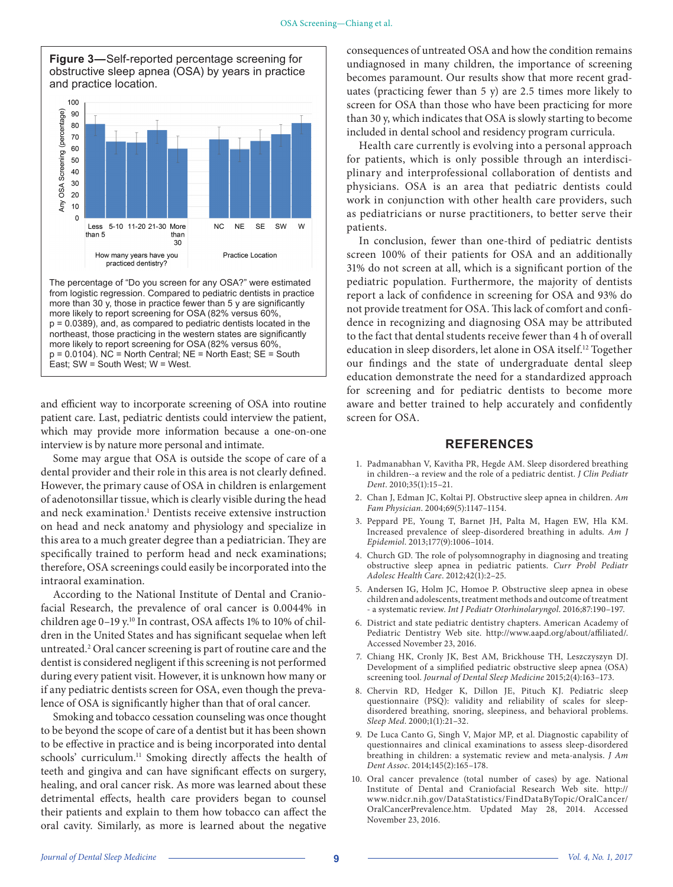

and efficient way to incorporate screening of OSA into routine patient care. Last, pediatric dentists could interview the patient,

East; SW = South West; W = West.

which may provide more information because a one-on-one

interview is by nature more personal and intimate. Some may argue that OSA is outside the scope of care of a dental provider and their role in this area is not clearly defined. However, the primary cause of OSA in children is enlargement of adenotonsillar tissue, which is clearly visible during the head and neck examination.<sup>1</sup> Dentists receive extensive instruction on head and neck anatomy and physiology and specialize in this area to a much greater degree than a pediatrician. They are specifically trained to perform head and neck examinations; therefore, OSA screenings could easily be incorporated into the intraoral examination.

According to the National Institute of Dental and Craniofacial Research, the prevalence of oral cancer is 0.0044% in children age 0-19 y.<sup>10</sup> In contrast, OSA affects 1% to 10% of children in the United States and has significant sequelae when left untreated.2 Oral cancer screening is part of routine care and the dentist is considered negligent if this screening is not performed during every patient visit. However, it is unknown how many or if any pediatric dentists screen for OSA, even though the prevalence of OSA is significantly higher than that of oral cancer.

Smoking and tobacco cessation counseling was once thought to be beyond the scope of care of a dentist but it has been shown to be effective in practice and is being incorporated into dental schools' curriculum.<sup>11</sup> Smoking directly affects the health of teeth and gingiva and can have significant effects on surgery, healing, and oral cancer risk. As more was learned about these detrimental effects, health care providers began to counsel their patients and explain to them how tobacco can affect the oral cavity. Similarly, as more is learned about the negative consequences of untreated OSA and how the condition remains undiagnosed in many children, the importance of screening becomes paramount. Our results show that more recent graduates (practicing fewer than 5 y) are 2.5 times more likely to screen for OSA than those who have been practicing for more than 30 y, which indicates that OSA is slowly starting to become included in dental school and residency program curricula.

Health care currently is evolving into a personal approach for patients, which is only possible through an interdisciplinary and interprofessional collaboration of dentists and physicians. OSA is an area that pediatric dentists could work in conjunction with other health care providers, such as pediatricians or nurse practitioners, to better serve their patients.

In conclusion, fewer than one-third of pediatric dentists screen 100% of their patients for OSA and an additionally 31% do not screen at all, which is a significant portion of the pediatric population. Furthermore, the majority of dentists report a lack of confidence in screening for OSA and 93% do not provide treatment for OSA. This lack of comfort and confidence in recognizing and diagnosing OSA may be attributed to the fact that dental students receive fewer than 4 h of overall education in sleep disorders, let alone in OSA itself.12 Together our findings and the state of undergraduate dental sleep education demonstrate the need for a standardized approach for screening and for pediatric dentists to become more aware and better trained to help accurately and confidently screen for OSA.

#### **REFERENCES**

- 1. Padmanabhan V, Kavitha PR, Hegde AM. Sleep disordered breathing in children--a review and the role of a pediatric dentist. *J Clin Pediatr Dent*. 2010;35(1):15–21.
- 2. Chan J, Edman JC, Koltai PJ. Obstructive sleep apnea in children. *Am Fam Physician*. 2004;69(5):1147–1154.
- 3. Peppard PE, Young T, Barnet JH, Palta M, Hagen EW, Hla KM. Increased prevalence of sleep-disordered breathing in adults. *Am J Epidemiol*. 2013;177(9):1006–1014.
- 4. Church GD. The role of polysomnography in diagnosing and treating obstructive sleep apnea in pediatric patients. *Curr Probl Pediatr Adolesc Health Care*. 2012;42(1):2–25.
- 5. Andersen IG, Holm JC, Homoe P. Obstructive sleep apnea in obese children and adolescents, treatment methods and outcome of treatment - a systematic review. *Int J Pediatr Otorhinolaryngol*. 2016;87:190–197.
- 6. District and state pediatric dentistry chapters. American Academy of Pediatric Dentistry Web site. http://www.aapd.org/about/affiliated/. Accessed November 23, 2016.
- 7. Chiang HK, Cronly JK, Best AM, Brickhouse TH, Leszczyszyn DJ. Development of a simplified pediatric obstructive sleep apnea (OSA) screening tool. *Journal of Dental Sleep Medicine* 2015;2(4):163–173.
- 8. Chervin RD, Hedger K, Dillon JE, Pituch KJ. Pediatric sleep questionnaire (PSQ): validity and reliability of scales for sleepdisordered breathing, snoring, sleepiness, and behavioral problems. *Sleep Med*. 2000;1(1):21–32.
- 9. De Luca Canto G, Singh V, Major MP, et al. Diagnostic capability of questionnaires and clinical examinations to assess sleep-disordered breathing in children: a systematic review and meta-analysis. *J Am Dent Assoc*. 2014;145(2):165–178.
- 10. Oral cancer prevalence (total number of cases) by age. National Institute of Dental and Craniofacial Research Web site. http:// www.nidcr.nih.gov/DataStatistics/FindDataByTopic/OralCancer/ OralCancerPrevalence.htm. Updated May 28, 2014. Accessed November 23, 2016.